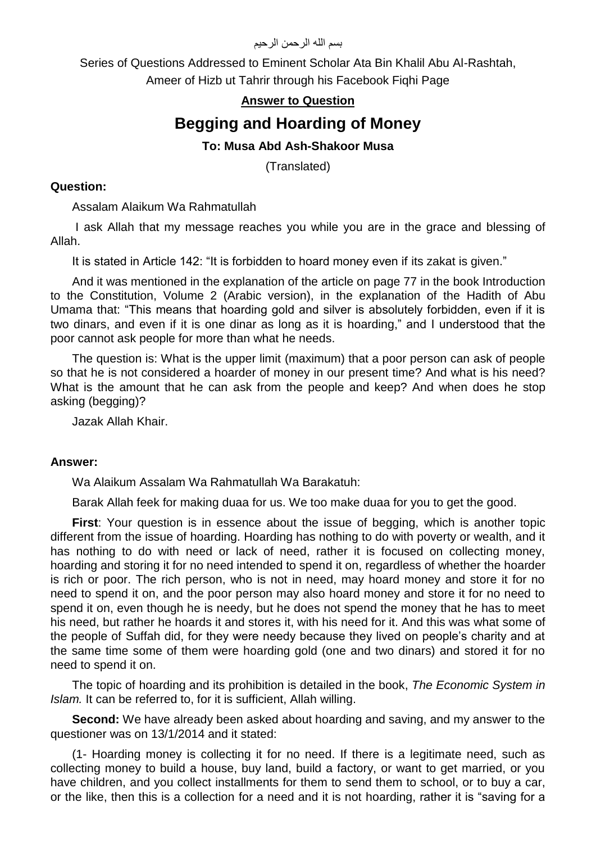بسم الله الرحمن الرحيم

Series of Questions Addressed to Eminent Scholar Ata Bin Khalil Abu Al-Rashtah, Ameer of Hizb ut Tahrir through his Facebook Fiqhi Page

## **Answer to Question**

# **Begging and Hoarding of Money**

## **To: Musa Abd Ash-Shakoor Musa**

(Translated)

#### **Question:**

Assalam Alaikum Wa Rahmatullah

I ask Allah that my message reaches you while you are in the grace and blessing of Allah.

It is stated in Article 142: "It is forbidden to hoard money even if its zakat is given."

And it was mentioned in the explanation of the article on page 77 in the book Introduction to the Constitution, Volume 2 (Arabic version), in the explanation of the Hadith of Abu Umama that: "This means that hoarding gold and silver is absolutely forbidden, even if it is two dinars, and even if it is one dinar as long as it is hoarding," and I understood that the poor cannot ask people for more than what he needs.

The question is: What is the upper limit (maximum) that a poor person can ask of people so that he is not considered a hoarder of money in our present time? And what is his need? What is the amount that he can ask from the people and keep? And when does he stop asking (begging)?

Jazak Allah Khair.

#### **Answer:**

Wa Alaikum Assalam Wa Rahmatullah Wa Barakatuh:

Barak Allah feek for making duaa for us. We too make duaa for you to get the good.

**First**: Your question is in essence about the issue of begging, which is another topic different from the issue of hoarding. Hoarding has nothing to do with poverty or wealth, and it has nothing to do with need or lack of need, rather it is focused on collecting money, hoarding and storing it for no need intended to spend it on, regardless of whether the hoarder is rich or poor. The rich person, who is not in need, may hoard money and store it for no need to spend it on, and the poor person may also hoard money and store it for no need to spend it on, even though he is needy, but he does not spend the money that he has to meet his need, but rather he hoards it and stores it, with his need for it. And this was what some of the people of Suffah did, for they were needy because they lived on people's charity and at the same time some of them were hoarding gold (one and two dinars) and stored it for no need to spend it on.

The topic of hoarding and its prohibition is detailed in the book, *The Economic System in Islam.* It can be referred to, for it is sufficient, Allah willing.

**Second:** We have already been asked about hoarding and saving, and my answer to the questioner was on 13/1/2014 and it stated:

(1- Hoarding money is collecting it for no need. If there is a legitimate need, such as collecting money to build a house, buy land, build a factory, or want to get married, or you have children, and you collect installments for them to send them to school, or to buy a car, or the like, then this is a collection for a need and it is not hoarding, rather it is "saving for a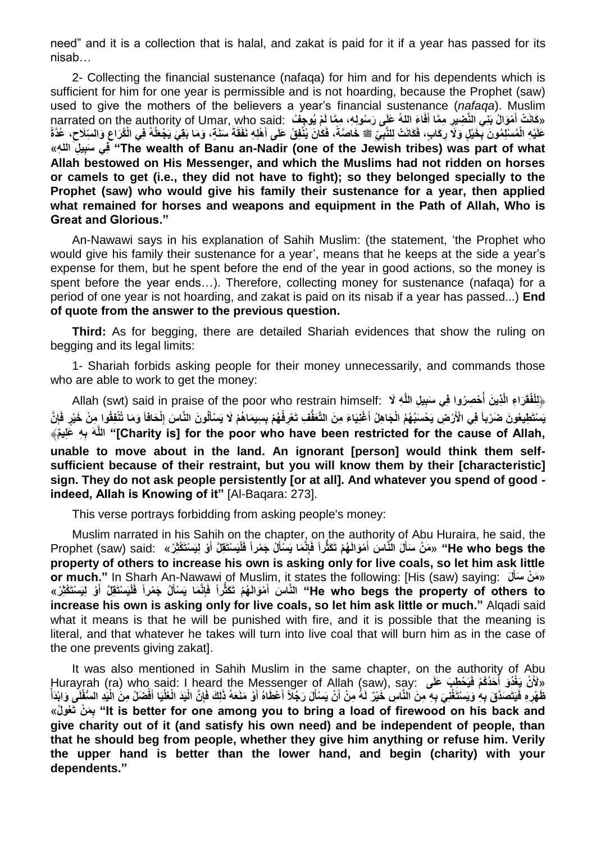need" and it is a collection that is halal, and zakat is paid for it if a year has passed for its nisab…

2- Collecting the financial sustenance (nafaqa) for him and for his dependents which is sufficient for him for one year is permissible and is not hoarding, because the Prophet (saw) used to give the mothers of the believers a year's financial sustenance (*nafaqa*). Muslim narrated on the authority of Umar, who said: وَهَا لَمْ يُوجِفْ " .narrated on the authority of Umar, who said **َ َ** عَلَيْهِ الْمُسْلِمُونَ بِخَيْلٍ وَلَا رِكَابٍ، فَكَانَتْ لِلنَّبِيِّ ﷺ خَاصَةً، فَكَانَ يُنْفِقُ عَلَى أَهْلِهِ نَفَقَةً سَنَةٍ، وَمَا بَقِيَ يَجْعَلُهُ فِي الْكُرَاعِ وَالسِّلَاحِ، عُدَّةً **َ َ ِ** ِلَّا فِي سَبِيلِ اللهِ» "The wealth of Banu an-Nadir (one of the Jewish tribes) was part of what **Allah bestowed on His Messenger, and which the Muslims had not ridden on horses or camels to get (i.e., they did not have to fight); so they belonged specially to the Prophet (saw) who would give his family their sustenance for a year, then applied what remained for horses and weapons and equipment in the Path of Allah, Who is Great and Glorious."**

An-Nawawi says in his explanation of Sahih Muslim: (the statement, 'the Prophet who would give his family their sustenance for a year', means that he keeps at the side a year's expense for them, but he spent before the end of the year in good actions, so the money is spent before the year ends…). Therefore, collecting money for sustenance (nafaqa) for a period of one year is not hoarding, and zakat is paid on its nisab if a year has passed...) **End of quote from the answer to the previous question.**

**Third:** As for begging, there are detailed Shariah evidences that show the ruling on begging and its legal limits:

1- Shariah forbids asking people for their money unnecessarily, and commands those who are able to work to get the money:

﴿لِلْفُقَرَاءِ الَّذِينَ أَحْصِرُوا فِي سَبِيلِ اللَّهِ لَا :Allah (swt) said in praise of the poor who restrain himself  يَسْتَطِيعُونَ ضَرْباً فِي الْأَرْضِ يَحْسَبُهُمُ الْجَاهِلُ أَغْنِيَاءَ مِنَ التَّعَفَّفِ تَعْرِفُهُمْ بِسِيمَاهُمْ لَا يَسْأَلُونَ النَّاسَ إِلْحَافَاً وَمَا تُنْفِقُوا مِنْ خَيْرٍ فَإِنَّ **َ ِه ِ اللَّهَ ب م** ﴾ **ليِعَ]" Charity is] for the poor who have been restricted for the cause of Allah, unable to move about in the land. An ignorant [person] would think them selfsufficient because of their restraint, but you will know them by their [characteristic] sign. They do not ask people persistently [or at all]. And whatever you spend of good indeed, Allah is Knowing of it"** [Al-Baqara: 273].

This verse portrays forbidding from asking people's money:

Muslim narrated in his Sahih on the chapter, on the authority of Abu Huraira, he said, the He who begs the" «مَنْ سَأَلَ النَّاسَ أَمْوَالَهُمْ تَكَثِّراً فَإِنَّمَا يَسْأَلُ جَمْراً فَلْيَسْنَقِلَّ أَوْ لِيَسْنَكْثِرْ » ;Prophet (saw) said: «كَثَّر أَ فَإِنَّمَا يَسْأَلُ جَمْراً فَلْيَسْنَقِلَّ أَوْ لِيَسْنَ **َ َ َ property of others to increase his own is asking only for live coals, so let him ask little or much."** In Sharh An-Nawawi of Muslim, it states the following: [His (saw) saying: **لَ** » **َم ن َسأ َ** He who begs the property of others to" النَّاسَ أَمْوَالَهُمْ تَكَثَّرْاً فَإِنَّمَا يَسْأَلُ جَمْراً فَأْيَسْتَقِلَّ أَوْ لِيَسْتَكْثِرْ» **َ increase his own is asking only for live coals, so let him ask little or much."** Alqadi said what it means is that he will be punished with fire, and it is possible that the meaning is literal, and that whatever he takes will turn into live coal that will burn him as in the case of the one prevents giving zakat].

It was also mentioned in Sahih Muslim in the same chapter, on the authority of Abu Hurayrah (ra) who said: I heard the Messenger of Allah (saw), say: **ىَعلَ بَ طِ ح َي َح د ك م فَ غ دَو أ ن يَ** »**َْلَ َ** ظَهْرِهِ فَيَتَصَدَّقَ بِهِ وَيَسْتَغْنِيَ بِهِ مِنَ النَّاسِ خَيْرٌ لَهُ مِنْ أَنْ يَسْأَلَ رَجُلًا أَعْطَاهُ أَوْ مَنَعَهُ ذَلِكَ فَإِنَّ الْغُلْيَا اَفْضَلُ مِنَ الْيَدِ السُّفْلَيِ وَابْدَأْ **َ ن مَ ِ**« **ل و عَت ب" It is better for one among you to bring a load of firewood on his back and give charity out of it (and satisfy his own need) and be independent of people, than that he should beg from people, whether they give him anything or refuse him. Verily the upper hand is better than the lower hand, and begin (charity) with your dependents."**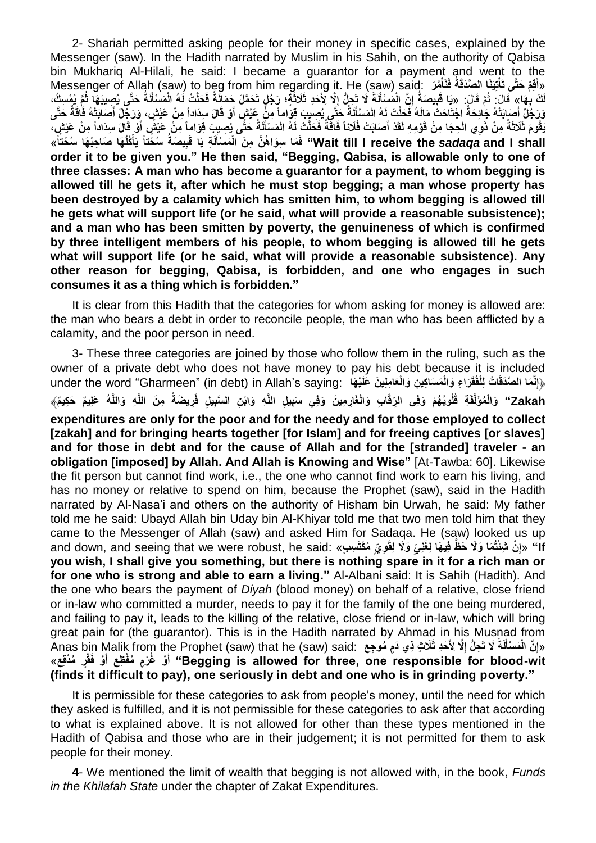2- Shariah permitted asking people for their money in specific cases, explained by the Messenger (saw). In the Hadith narrated by Muslim in his Sahih, on the authority of Qabisa bin Mukhariq Al-Hilali, he said: I became a guarantor for a payment and went to the Messenger of Allah (saw) to beg from him regarding it. He (saw) said: **رَ م نَأ فَ َنا ال َّصَدقَة تِيَ قِ م َحتَّى تَأ** »**أ َ** لَكَ بِهَا» ۚ قَالَ: ثُمَّ قَالَ: «يَا قَبِيصَةُ إِنَّ الْمَسْأَلَةَ لَا تَجِلُّ إِلَّا لِأَحَدِ ثَلَاثَةٍ؛ رَجُلٍ تَحَمَّلَ جَمَالَةً فَحَلَّتْ لَهُ الْمَسْأَلَةُ حَتًى يُصِيبَهَا ثُمَّ يُمْسِكُ، ا<br>ا **ِ َ َ َ** وَرَجُلٌ أَصَابَتْهُ جَائِحَةٌ اجْتَاحَتُّ مَالَهُ فَحَلَّتْ لَهُ الْمَسْأَلَةُ حَتَّى يُصِيبَ قِوَاماً مِنْ عَيْشٍ أَوْ قَالَ سِدَاداً مِنْ عَيْشٍ، وَرَجِّلٌ أَصَابَتْهُ فَاقَةٌ حَتَّى **َ َ َ َ** يَقُومَ ثَلَاثَةٌ مِنْ ذَوِي الْحِجَا مِنْ قَوْمِهِ لَقَدْ أَصَابَتْ فُلَاناً فَاقَةٌ فَحَلَّتْ لَهُ الْمَسْأَلَةُ حَتًّى يُصِبِبَ قِوَاماً مِنْ عَيْشٍ أَوْ قَالَ سِدَاداً مِنْ عَيْشٍ، **َ َ** Wait till I receive the s*adaqa* and I shall'' فَمَا سِوَاهُنَّ مِنَ ۖالْمَسْأَلَةِ يَا قَبِيصَةُ سُخُتًا يَأْكُلُهَا صَاحِبُهَا سُخْتَاً» **َ َ order it to be given you." He then said, "Begging, Qabisa, is allowable only to one of three classes: A man who has become a guarantor for a payment, to whom begging is allowed till he gets it, after which he must stop begging; a man whose property has been destroyed by a calamity which has smitten him, to whom begging is allowed till he gets what will support life (or he said, what will provide a reasonable subsistence); and a man who has been smitten by poverty, the genuineness of which is confirmed by three intelligent members of his people, to whom begging is allowed till he gets what will support life (or he said, what will provide a reasonable subsistence). Any other reason for begging, Qabisa, is forbidden, and one who engages in such consumes it as a thing which is forbidden."**

It is clear from this Hadith that the categories for whom asking for money is allowed are: the man who bears a debt in order to reconcile people, the man who has been afflicted by a calamity, and the poor person in need.

3- These three categories are joined by those who follow them in the ruling, such as the owner of a private debt who does not have money to pay his debt because it is included under the word "Gharmeen" (in debt) in Allah's saying: فَإِنَّمَا الصَّدَقَاتُ لِلْفُقَرَاءِ وَالْمَسَاكِينِ وَالْعَامِلِينَ عَلَيْهَا "under the word "Gharmeen" (in debt) in Allah's saying: Zakah" وَالْمُوَلَّفَةِ قُلُوبُهُمْ وَفِي الرِّقَابِ وَالْغَارِمِينَ وَفِي سَبِيلِ اللَّهِ وَابْنِ السَّبِيلِ فَرِيضَةً مِنَ اللَّهِ وَاللَّهُ عَلِيمٌ حَكِيمٌ﴾ **expenditures are only for the poor and for the needy and for those employed to collect [zakah] and for bringing hearts together [for Islam] and for freeing captives [or slaves] and for those in debt and for the cause of Allah and for the [stranded] traveler - an obligation [imposed] by Allah. And Allah is Knowing and Wise"** [At-Tawba: 60]. Likewise the fit person but cannot find work, i.e., the one who cannot find work to earn his living, and has no money or relative to spend on him, because the Prophet (saw), said in the Hadith narrated by Al-Nasa'i and others on the authority of Hisham bin Urwah, he said: My father told me he said: Ubayd Allah bin Uday bin Al-Khiyar told me that two men told him that they came to the Messenger of Allah (saw) and asked Him for Sadaqa. He (saw) looked us up ff «إِنْ شِنْتُمَا وَلَا حَظٌ فِيهَا لِغَنِيَ وَلَا لِقَوِيَ مُكْتَسِبٍ» .and down, and seeing that we were robust, he said **ِ you wish, I shall give you something, but there is nothing spare in it for a rich man or for one who is strong and able to earn a living."** Al-Albani said: It is Sahih (Hadith). And the one who bears the payment of *Diyah* (blood money) on behalf of a relative, close friend or in-law who committed a murder, needs to pay it for the family of the one being murdered, and failing to pay it, leads to the killing of the relative, close friend or in-law, which will bring great pain for (the guarantor). This is in the Hadith narrated by Ahmad in his Musnad from «إِنَّ الْمَسْأَلَةَ لَا تَحِلُّ إِلَّا لِأَخَدِ ثَلَاثٍ ذِي دَمٍ مُوجِع :Anas bin Malik from the Prophet (saw) that he (saw) said **ِ َ ِ** Begging is allowed for three, one responsible for blood-wit<sup>.</sup> أَوْ غُرْمٍ مُفْظِعٍ أَوْ فَقُرٍ مُدْقِعٍ» **َ َ (finds it difficult to pay), one seriously in debt and one who is in grinding poverty."**

It is permissible for these categories to ask from people's money, until the need for which they asked is fulfilled, and it is not permissible for these categories to ask after that according to what is explained above. It is not allowed for other than these types mentioned in the Hadith of Qabisa and those who are in their judgement; it is not permitted for them to ask people for their money.

**4**- We mentioned the limit of wealth that begging is not allowed with, in the book, *Funds in the Khilafah State* under the chapter of Zakat Expenditures.